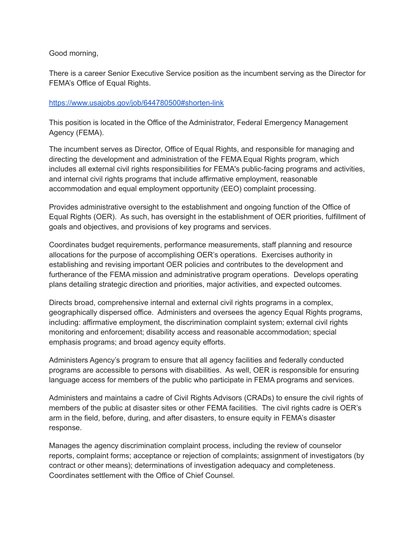Good morning,

There is a career Senior Executive Service position as the incumbent serving as the Director for FEMA's Office of Equal Rights.

## [https://www.usajobs.gov/job/644780500#shorten-link](https://nam04.safelinks.protection.outlook.com/?url=https%3A%2F%2Fwww.usajobs.gov%2Fjob%2F644780500%23shorten-link&data=04%7C01%7Cdataya.resenois%40bison.howard.edu%7Cb861efa71e714ea4f09108da11a73806%7C02ac0c07b75f46bf9b133630ba94bb69%7C0%7C0%7C637841707148444447%7CUnknown%7CTWFpbGZsb3d8eyJWIjoiMC4wLjAwMDAiLCJQIjoiV2luMzIiLCJBTiI6Ik1haWwiLCJXVCI6Mn0%3D%7C3000&sdata=mdbBnxo5ZM3K6cZrpbOfUBJJZ7XTRNZ%2BG0rmoIrXrXs%3D&reserved=0)

This position is located in the Office of the Administrator, Federal Emergency Management Agency (FEMA).

The incumbent serves as Director, Office of Equal Rights, and responsible for managing and directing the development and administration of the FEMA Equal Rights program, which includes all external civil rights responsibilities for FEMA's public-facing programs and activities, and internal civil rights programs that include affirmative employment, reasonable accommodation and equal employment opportunity (EEO) complaint processing.

Provides administrative oversight to the establishment and ongoing function of the Office of Equal Rights (OER). As such, has oversight in the establishment of OER priorities, fulfillment of goals and objectives, and provisions of key programs and services.

Coordinates budget requirements, performance measurements, staff planning and resource allocations for the purpose of accomplishing OER's operations. Exercises authority in establishing and revising important OER policies and contributes to the development and furtherance of the FEMA mission and administrative program operations. Develops operating plans detailing strategic direction and priorities, major activities, and expected outcomes.

Directs broad, comprehensive internal and external civil rights programs in a complex, geographically dispersed office. Administers and oversees the agency Equal Rights programs, including: affirmative employment, the discrimination complaint system; external civil rights monitoring and enforcement; disability access and reasonable accommodation; special emphasis programs; and broad agency equity efforts.

Administers Agency's program to ensure that all agency facilities and federally conducted programs are accessible to persons with disabilities. As well, OER is responsible for ensuring language access for members of the public who participate in FEMA programs and services.

Administers and maintains a cadre of Civil Rights Advisors (CRADs) to ensure the civil rights of members of the public at disaster sites or other FEMA facilities. The civil rights cadre is OER's arm in the field, before, during, and after disasters, to ensure equity in FEMA's disaster response.

Manages the agency discrimination complaint process, including the review of counselor reports, complaint forms; acceptance or rejection of complaints; assignment of investigators (by contract or other means); determinations of investigation adequacy and completeness. Coordinates settlement with the Office of Chief Counsel.